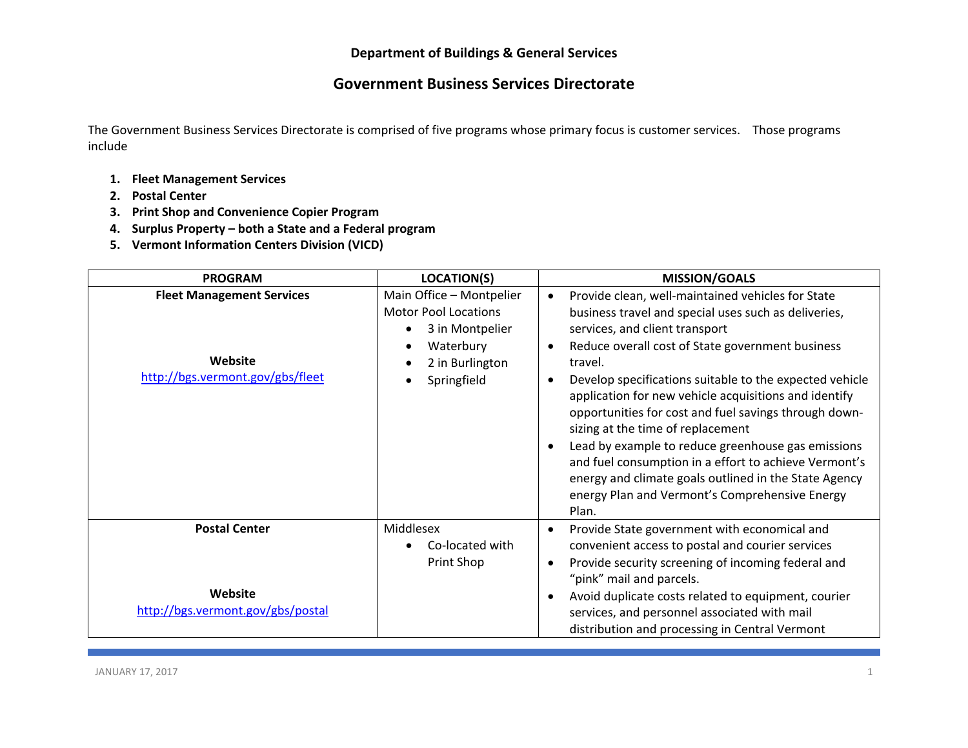## **Government Business Services Directorate**

The Government Business Services Directorate is comprised of five programs whose primary focus is customer services. Those programs include

- **1. Fleet Management Services**
- **2. Postal Center**
- **3. Print Shop and Convenience Copier Program**
- **4. Surplus Property – both <sup>a</sup> State and <sup>a</sup> Federal program**
- **5. Vermont Information Centers Division (VICD)**

| <b>PROGRAM</b>                                                                  | <b>LOCATION(S)</b>                                                                                                        | <b>MISSION/GOALS</b>                                                                                                                                                                                                                                                                                                                                                                                                                                                                                                                                                                                                                                                                                   |
|---------------------------------------------------------------------------------|---------------------------------------------------------------------------------------------------------------------------|--------------------------------------------------------------------------------------------------------------------------------------------------------------------------------------------------------------------------------------------------------------------------------------------------------------------------------------------------------------------------------------------------------------------------------------------------------------------------------------------------------------------------------------------------------------------------------------------------------------------------------------------------------------------------------------------------------|
| <b>Fleet Management Services</b><br>Website<br>http://bgs.vermont.gov/gbs/fleet | Main Office - Montpelier<br><b>Motor Pool Locations</b><br>3 in Montpelier<br>Waterbury<br>2 in Burlington<br>Springfield | Provide clean, well-maintained vehicles for State<br>$\bullet$<br>business travel and special uses such as deliveries,<br>services, and client transport<br>Reduce overall cost of State government business<br>travel.<br>Develop specifications suitable to the expected vehicle<br>$\bullet$<br>application for new vehicle acquisitions and identify<br>opportunities for cost and fuel savings through down-<br>sizing at the time of replacement<br>Lead by example to reduce greenhouse gas emissions<br>$\bullet$<br>and fuel consumption in a effort to achieve Vermont's<br>energy and climate goals outlined in the State Agency<br>energy Plan and Vermont's Comprehensive Energy<br>Plan. |
| <b>Postal Center</b><br>Website<br>http://bgs.vermont.gov/gbs/postal            | Middlesex<br>Co-located with<br>Print Shop                                                                                | Provide State government with economical and<br>$\bullet$<br>convenient access to postal and courier services<br>Provide security screening of incoming federal and<br>"pink" mail and parcels.<br>Avoid duplicate costs related to equipment, courier<br>$\bullet$<br>services, and personnel associated with mail<br>distribution and processing in Central Vermont                                                                                                                                                                                                                                                                                                                                  |